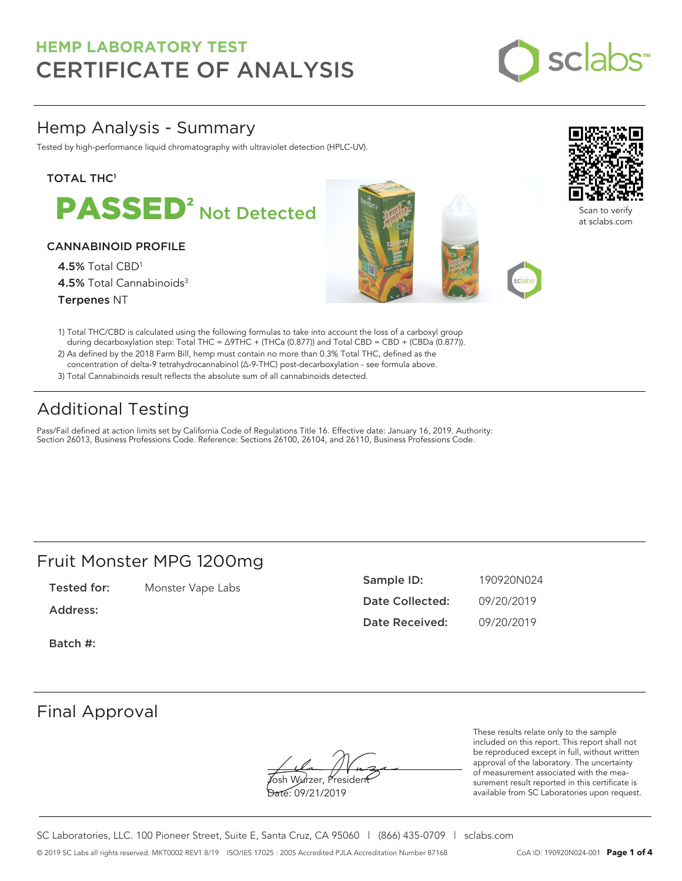

# Hemp Analysis - Summary

Tested by high-performance liquid chromatography with ultraviolet detection (HPLC-UV).

# **TOTAL THC1**



### CANNABINOID PROFILE

4.5% Total CBD<sup>1</sup> 4.5% Total Cannabinoids<sup>3</sup> Terpenes NT





Scan to verify at sclabs.com

- 1) Total THC/CBD is calculated using the following formulas to take into account the loss of a carboxyl group during decarboxylation step: Total THC = ∆9THC + (THCa (0.877)) and Total CBD = CBD + (CBDa (0.877)).
- 2) As defined by the 2018 Farm Bill, hemp must contain no more than 0.3% Total THC, defined as the concentration of delta-9 tetrahydrocannabinol (Δ-9-THC) post-decarboxylation - see formula above.
- 3) Total Cannabinoids result reflects the absolute sum of all cannabinoids detected.

# Additional Testing

Pass/Fail defined at action limits set by California Code of Regulations Title 16. Effective date: January 16, 2019. Authority: Section 26013, Business Professions Code. Reference: Sections 26100, 26104, and 26110, Business Professions Code.

# Fruit Monster MPG 1200mg

Tested for: Monster Vape Labs

Address:

Sample ID: 190920N024 Date Collected: 09/20/2019 Date Received: 09/20/2019

Batch #:

# Final Approval

**J**osh Wurzer, Presiden<del>t</del> Date: 09/21/2019

These results relate only to the sample included on this report. This report shall not be reproduced except in full, without written approval of the laboratory. The uncertainty of measurement associated with the measurement result reported in this certificate is available from SC Laboratories upon request.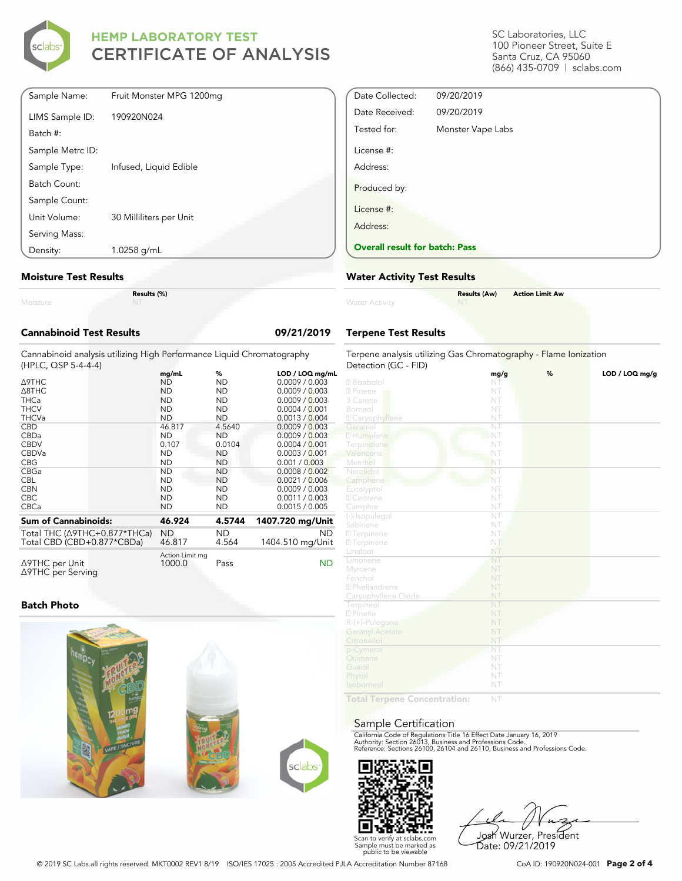

SC Laboratories, LLC 100 Pioneer Street, Suite E Santa Cruz, CA 95060 (866) 435-0709 | sclabs.com

| Density:         | 1.0258 g/mL              |
|------------------|--------------------------|
| Serving Mass:    |                          |
| Unit Volume:     | 30 Milliliters per Unit  |
| Sample Count:    |                          |
| Batch Count:     |                          |
| Sample Type:     | Infused, Liquid Edible   |
| Sample Metrc ID: |                          |
| Batch #:         |                          |
| LIMS Sample ID:  | 190920N024               |
| Sample Name:     | Fruit Monster MPG 1200mg |

#### **Moisture Test Results**

|   |  |  | ______ |  |
|---|--|--|--------|--|
|   |  |  |        |  |
|   |  |  |        |  |
| . |  |  |        |  |

**Results (%)**

| <b>Cannabinoid Test Results</b>                                                              |                           |           | 09/21/2019       |
|----------------------------------------------------------------------------------------------|---------------------------|-----------|------------------|
| Cannabinoid analysis utilizing High Performance Liquid Chromatography<br>(HPLC, QSP 5-4-4-4) |                           |           |                  |
|                                                                                              | mg/mL                     | %         | LOD / LOQ mg/mL  |
| <b>A9THC</b>                                                                                 | <b>ND</b>                 | <b>ND</b> | 0.0009 / 0.003   |
| A8THC                                                                                        | <b>ND</b>                 | <b>ND</b> | 0.0009 / 0.003   |
| <b>THCa</b>                                                                                  | <b>ND</b>                 | <b>ND</b> | 0.0009 / 0.003   |
| <b>THCV</b>                                                                                  | <b>ND</b>                 | <b>ND</b> | 0.0004 / 0.001   |
| <b>THCVa</b>                                                                                 | <b>ND</b>                 | <b>ND</b> | 0.0013 / 0.004   |
| <b>CBD</b>                                                                                   | 46.817                    | 4.5640    | 0.0009 / 0.003   |
| CBDa                                                                                         | <b>ND</b>                 | <b>ND</b> | 0.0009 / 0.003   |
| <b>CBDV</b>                                                                                  | 0.107                     | 0.0104    | 0.0004 / 0.001   |
| CBDVa                                                                                        | <b>ND</b>                 | <b>ND</b> | 0.0003 / 0.001   |
| <b>CBG</b>                                                                                   | <b>ND</b>                 | <b>ND</b> | 0.001 / 0.003    |
| CBGa                                                                                         | <b>ND</b>                 | <b>ND</b> | 0.0008 / 0.002   |
| <b>CBL</b>                                                                                   | <b>ND</b>                 | <b>ND</b> | 0.0021 / 0.006   |
| <b>CBN</b>                                                                                   | <b>ND</b>                 | <b>ND</b> | 0.0009 / 0.003   |
| CBC.                                                                                         | <b>ND</b>                 | <b>ND</b> | 0.0011 / 0.003   |
| CBCa                                                                                         | <b>ND</b>                 | <b>ND</b> | 0.0015 / 0.005   |
| <b>Sum of Cannabinoids:</b>                                                                  | 46.924                    | 4.5744    | 1407.720 mg/Unit |
| Total THC (∆9THC+0.877*THCa)                                                                 | <b>ND</b>                 | ND.       | <b>ND</b>        |
| Total CBD (CBD+0.877*CBDa)                                                                   | 46.817                    | 4.564     | 1404.510 mg/Unit |
| $\triangle$ 9THC per Unit<br>∆9THC per Serving                                               | Action Limit mg<br>1000.0 | Pass      | <b>ND</b>        |

### **Batch Photo**



| Date Collected:                       | 09/20/2019        |
|---------------------------------------|-------------------|
| Date Received:                        | 09/20/2019        |
| Tested for:                           | Monster Vape Labs |
| License #:                            |                   |
| Address:                              |                   |
| Produced by:                          |                   |
| License #:                            |                   |
| Address:                              |                   |
| <b>Overall result for batch: Pass</b> |                   |

#### **Water Activity Test Results**

| <b>Water Activity</b> | <b>Results (Aw)</b><br><b>NT</b><br><b>Contract Contract Contract</b> | <b>Action Limit Aw</b> |
|-----------------------|-----------------------------------------------------------------------|------------------------|
|                       |                                                                       |                        |

### **Terpene Test Results**

| Terpene analysis utilizing Gas Chromatography - Flame Ionization<br>Detection (GC - FID) |                        |   |                |
|------------------------------------------------------------------------------------------|------------------------|---|----------------|
|                                                                                          | mg/g                   | % | LOD / LOQ mg/g |
| 2 Bisabolol                                                                              | NT                     |   |                |
| 2 Pinene                                                                                 | NT                     |   |                |
| 3 Carene                                                                                 | NT                     |   |                |
| Borneol                                                                                  | NT                     |   |                |
| <b>Z</b> Caryophyllene                                                                   | NT                     |   |                |
| Geraniol                                                                                 | NT                     |   |                |
| 2 Humulene                                                                               | NT                     |   |                |
| Terpinolene                                                                              | NT                     |   |                |
| Valencene                                                                                | NT                     |   |                |
| Menthol                                                                                  | NT                     |   |                |
| Nerolidol                                                                                | NT                     |   |                |
| Camphene                                                                                 | NT                     |   |                |
| Eucalyptol                                                                               | NT                     |   |                |
| 2 Cedrene                                                                                | NT                     |   |                |
| Camphor                                                                                  | NT                     |   |                |
| (-)-Isopulegol                                                                           | $\overline{\text{NT}}$ |   |                |
| Sabinene                                                                                 | NT                     |   |                |
| <b>27</b> Terpinene                                                                      | NT.                    |   |                |
| <b>27 Terpinene</b>                                                                      | NT                     |   |                |
| Linalool                                                                                 | NT                     |   |                |
| Limonene                                                                                 | NT                     |   |                |
| Myrcene                                                                                  | NT                     |   |                |
| Fenchol                                                                                  | NT                     |   |                |
| <sup>2</sup> Phellandrene                                                                | NT                     |   |                |
| Caryophyllene Oxide                                                                      | NT                     |   |                |
| Terpineol                                                                                | NT                     |   |                |
| 2 Pinene                                                                                 | NT                     |   |                |
| R-(+)-Pulegone                                                                           | NT                     |   |                |
| <b>Geranyl Acetate</b>                                                                   | NT                     |   |                |
| Citronellol                                                                              | NT                     |   |                |
| p-Cymene                                                                                 | NT                     |   |                |
| Ocimene                                                                                  | NT                     |   |                |
| Guaiol                                                                                   | NT                     |   |                |
| Phytol                                                                                   | NT                     |   |                |
| Isoborneol                                                                               | NT                     |   |                |
|                                                                                          |                        |   |                |
| Total Tarnana Concentration:                                                             | NIT                    |   |                |

**Total Terpene Concentration:**

#### Sample Certification

California Code of Regulations Title 16 Effect Date January 16, 2019<br>Authority: Section 26013, Business and Professions Code.<br>Reference: Sections 26100, 26104 and 26110, Business and Professions Code.



Josh Wurzer, President Date: 09/21/2019

© 2019 SC Labs all rights reserved. MKT0002 REV1 8/19 ISO/IES 17025 : 2005 Accredited PJLA Accreditation Number 87168 CoA ID: 190920N024-001 **Page 2 of 4**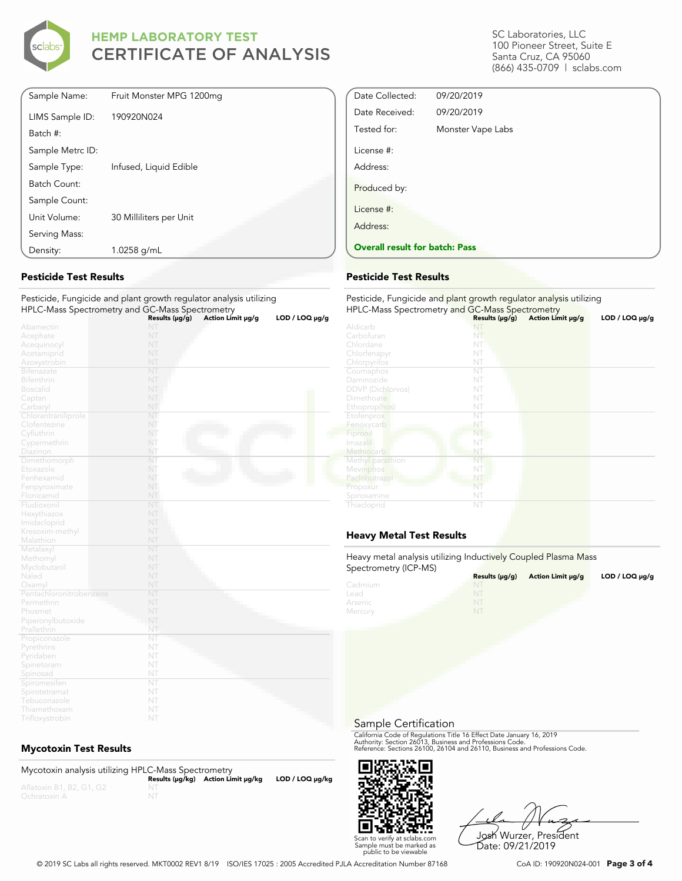

| Sample Name:     | Fruit Monster MPG 1200mg |
|------------------|--------------------------|
| LIMS Sample ID:  | 190920N024               |
| Batch #:         |                          |
| Sample Metrc ID: |                          |
| Sample Type:     | Infused, Liquid Edible   |
| Batch Count:     |                          |
| Sample Count:    |                          |
| Unit Volume:     | 30 Milliliters per Unit  |
| Serving Mass:    |                          |
| Density:         | 1.0258 g/mL              |
|                  |                          |

### **Pesticide Test Results**

Pesticide, Fungicide and plant growth regulator analysis utilizing HPLC-Mass Spectrometry and GC-Mass Spectrometry **Results (μg/g) Action Limit μg/g LOD / LOQ μg/g**

|                         | Results (µg/g) | Action Limit µg/g | LOD / LOQ µg/g |
|-------------------------|----------------|-------------------|----------------|
| Abamectin               | NT             |                   |                |
| Acephate                | NT             |                   |                |
| Acequinocyl             | NT             |                   |                |
| Acetamiprid             | NT             |                   |                |
| Azoxystrobin            | NT             |                   |                |
| Bifenazate              | NT             |                   |                |
| Bifenthrin              | NT             |                   |                |
| <b>Boscalid</b>         | NT             |                   |                |
| Captan                  | NT             |                   |                |
| Carbaryl                | NT             |                   |                |
| Chlorantraniliprole     | NT             |                   |                |
| Clofentezine            | NT             |                   |                |
| Cyfluthrin              | NT             |                   |                |
| Cypermethrin            | NT             |                   |                |
| Diazinon                | NT             |                   |                |
| Dimethomorph            | NT             |                   |                |
| Etoxazole               | NT             |                   |                |
| Fenhexamid              | NT             |                   |                |
| Fenpyroximate           | NT             |                   |                |
| Flonicamid              | NT             |                   |                |
| Fludioxonil             | NT             |                   |                |
| Hexythiazox             | NT             |                   |                |
| Imidacloprid            | NT             |                   |                |
| Kresoxim-methyl         | NT             |                   |                |
| Malathion               | NT             |                   |                |
| Metalaxyl               | NT             |                   |                |
| Methomyl                | NT             |                   |                |
| Myclobutanil            | NT             |                   |                |
| Naled                   | NT             |                   |                |
| Oxamyl                  | NT             |                   |                |
| Pentachloronitrobenzene | NT             |                   |                |
| Permethrin              | NT             |                   |                |
| Phosmet                 | NT             |                   |                |
| Piperonylbutoxide       | NT             |                   |                |
| Prallethrin             | NT             |                   |                |
| Propiconazole           | NT             |                   |                |
| Pyrethrins              | NT             |                   |                |
| Pyridaben               | NT             |                   |                |
| Spinetoram              | NT             |                   |                |
| Spinosad                | NT             |                   |                |
| Spiromesifen            | NT             |                   |                |
| Spirotetramat           | NT             |                   |                |
| Tebuconazole            | NT             |                   |                |
| Thiamethoxam            | NT             |                   |                |
| Trifloxystrobin         | NT             |                   |                |

### **Mycotoxin Test Results**

Mycotoxin analysis utilizing HPLC-Mass Spectrometry **Results (μg/kg) Action Limit μg/kg LOD / LOQ μg/kg** NT

SC Laboratories, LLC 100 Pioneer Street, Suite E Santa Cruz, CA 95060 (866) 435-0709 | sclabs.com

| Date Collected:                       | 09/20/2019        |  |
|---------------------------------------|-------------------|--|
| Date Received:                        | 09/20/2019        |  |
| Tested for:                           | Monster Vape Labs |  |
| License #:                            |                   |  |
| Address:                              |                   |  |
| Produced by:                          |                   |  |
| License #:                            |                   |  |
| Address:                              |                   |  |
| <b>Overall result for batch: Pass</b> |                   |  |
|                                       |                   |  |

#### **Pesticide Test Results**

| Pesticide, Fungicide and plant growth regulator analysis utilizing<br>HPLC-Mass Spectrometry and GC-Mass Spectrometry |                     |                   |                     |
|-----------------------------------------------------------------------------------------------------------------------|---------------------|-------------------|---------------------|
|                                                                                                                       | Results $(\mu g/g)$ | Action Limit µg/g | $LOD / LOQ \mu g/g$ |
| Aldicarb                                                                                                              | NT                  |                   |                     |
| Carbofuran                                                                                                            | NT                  |                   |                     |
| Chlordane                                                                                                             | NT                  |                   |                     |
| Chlorfenapyr                                                                                                          | NT                  |                   |                     |
| Chlorpyrifos                                                                                                          | NT                  |                   |                     |
| Coumaphos                                                                                                             | NT                  |                   |                     |
| Daminozide                                                                                                            | NT                  |                   |                     |
| <b>DDVP</b> (Dichlorvos)                                                                                              | NT                  |                   |                     |
| Dimethoate                                                                                                            | NT                  |                   |                     |
| Ethoprop(hos)                                                                                                         | NT                  |                   |                     |
| Etofenprox                                                                                                            | NT                  |                   |                     |
| Fenoxycarb                                                                                                            | NT                  |                   |                     |
| Fipronil                                                                                                              | NT                  |                   |                     |
| Imazalil                                                                                                              | NT                  |                   |                     |
| Methiocarb                                                                                                            | NT                  |                   |                     |
| Methyl parathion                                                                                                      | NT                  |                   |                     |
| Mevinphos                                                                                                             | NT                  |                   |                     |
| Paclobutrazol                                                                                                         | NT                  |                   |                     |
| Propoxur                                                                                                              | NT                  |                   |                     |
| Spiroxamine                                                                                                           | NT                  |                   |                     |
| Thiacloprid                                                                                                           | NT                  |                   |                     |

# **Heavy Metal Test Results**

Heavy metal analysis utilizing Inductively Coupled Plasma Mass Spectrometry (ICP-MS)

| $\frac{1}{2}$ | Results (µq/q) | Action Limit µg/g | $LOD / LOQ \mu g/g$ |
|---------------|----------------|-------------------|---------------------|
| Cadmium       | NT.            |                   |                     |
| Lead          |                |                   |                     |
| Arsenic       | NT             |                   |                     |
| Mercury       | NT             |                   |                     |

Sample Certification

California Code of Regulations Title 16 Effect Date January 16, 2019<br>Authority: Section 26013, Business and Professions Code.<br>Reference: Sections 26100, 26104 and 26110, Business and Professions Code.



Josh Wurzer, President Date: 09/21/2019

© 2019 SC Labs all rights reserved. MKT0002 REV1 8/19 ISO/IES 17025 : 2005 Accredited PJLA Accreditation Number 87168 CoA ID: 190920N024-001 **Page 3 of 4**